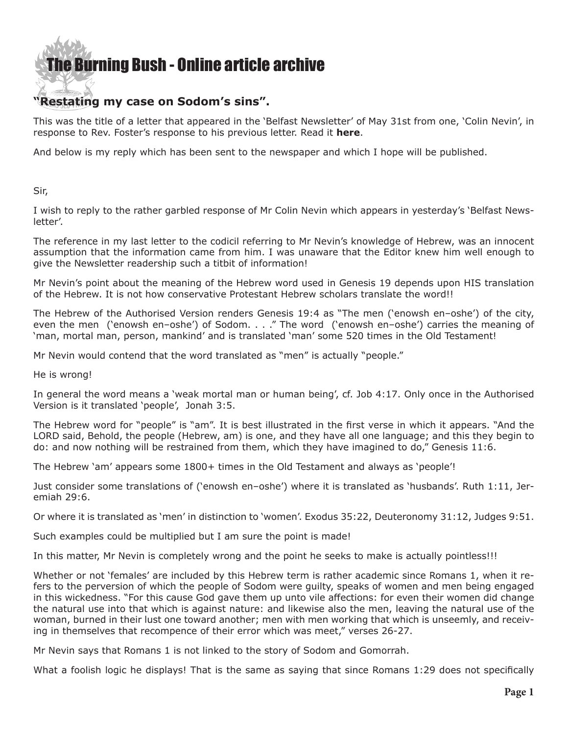## **[The Burning Bush - Online article archive](http://www.ivanfoster.net)**

## **"Restating my case on Sodom's sins".**

This was the title of a letter that appeared in the 'Belfast Newsletter' of May 31st from one, 'Colin Nevin', in response to Rev. Foster's response to his previous letter. Read it **[here](https://www.newsletter.co.uk/news/opinion/restating-my-case-on-sodom-s-sins-1-8946744)**.

And below is my reply which has been sent to the newspaper and which I hope will be published.

Sir,

I wish to reply to the rather garbled response of Mr Colin Nevin which appears in yesterday's 'Belfast Newsletter'.

The reference in my last letter to the codicil referring to Mr Nevin's knowledge of Hebrew, was an innocent assumption that the information came from him. I was unaware that the Editor knew him well enough to give the Newsletter readership such a titbit of information!

Mr Nevin's point about the meaning of the Hebrew word used in Genesis 19 depends upon HIS translation of the Hebrew. It is not how conservative Protestant Hebrew scholars translate the word!!

The Hebrew of the Authorised Version renders Genesis 19:4 as "The men ('enowsh en–oshe') of the city, even the men ('enowsh en–oshe') of Sodom. . . ." The word ('enowsh en–oshe') carries the meaning of 'man, mortal man, person, mankind' and is translated 'man' some 520 times in the Old Testament!

Mr Nevin would contend that the word translated as "men" is actually "people."

He is wrong!

In general the word means a 'weak mortal man or human being', cf. Job 4:17. Only once in the Authorised Version is it translated 'people', Jonah 3:5.

The Hebrew word for "people" is "am". It is best illustrated in the first verse in which it appears. "And the LORD said, Behold, the people (Hebrew, am) is one, and they have all one language; and this they begin to do: and now nothing will be restrained from them, which they have imagined to do," Genesis 11:6.

The Hebrew 'am' appears some 1800+ times in the Old Testament and always as 'people'!

Just consider some translations of ('enowsh en–oshe') where it is translated as 'husbands'. Ruth 1:11, Jeremiah 29:6.

Or where it is translated as 'men' in distinction to 'women'. Exodus 35:22, Deuteronomy 31:12, Judges 9:51.

Such examples could be multiplied but I am sure the point is made!

In this matter, Mr Nevin is completely wrong and the point he seeks to make is actually pointless!!!

Whether or not 'females' are included by this Hebrew term is rather academic since Romans 1, when it refers to the perversion of which the people of Sodom were guilty, speaks of women and men being engaged in this wickedness. "For this cause God gave them up unto vile affections: for even their women did change the natural use into that which is against nature: and likewise also the men, leaving the natural use of the woman, burned in their lust one toward another; men with men working that which is unseemly, and receiving in themselves that recompence of their error which was meet," verses 26-27.

Mr Nevin says that Romans 1 is not linked to the story of Sodom and Gomorrah.

What a foolish logic he displays! That is the same as saying that since Romans 1:29 does not specifically